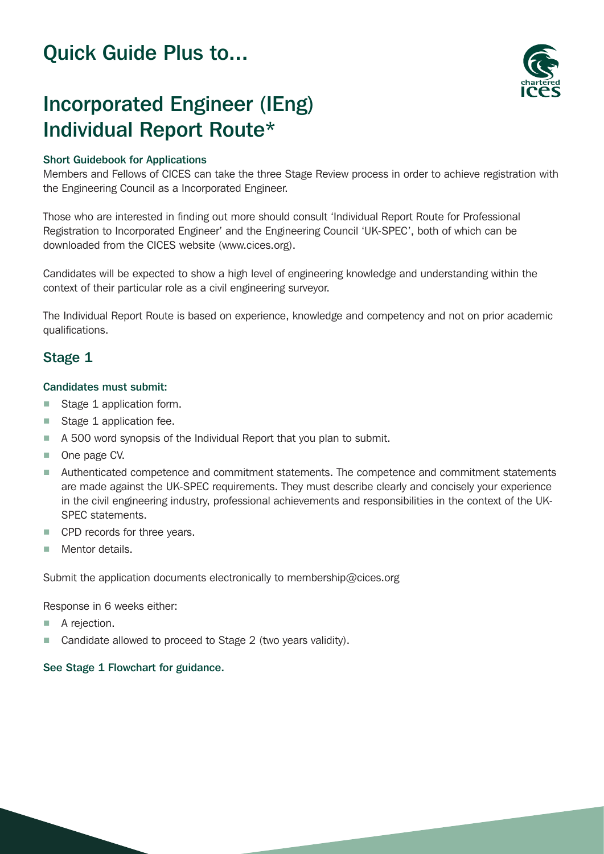## Quick Guide Plus to...



# Incorporated Engineer (IEng) Individual Report Route\*

## Short Guidebook for Applications

Members and Fellows of CICES can take the three Stage Review process in order to achieve registration with the Engineering Council as a Incorporated Engineer.

Those who are interested in finding out more should consult 'Individual Report Route for Professional Registration to Incorporated Engineer' and the Engineering Council 'UK-SPEC', both of which can be downloaded from the CICES website (www.cices.org).

Candidates will be expected to show a high level of engineering knowledge and understanding within the context of their particular role as a civil engineering surveyor.

The Individual Report Route is based on experience, knowledge and competency and not on prior academic qualifications.

## Stage 1

#### Candidates must submit:

- Stage 1 application form.
- Stage 1 application fee.
- A 500 word synopsis of the Individual Report that you plan to submit.
- One page CV.
- Authenticated competence and commitment statements. The competence and commitment statements are made against the UK-SPEC requirements. They must describe clearly and concisely your experience in the civil engineering industry, professional achievements and responsibilities in the context of the UK-SPEC statements.
- CPD records for three years.
- Mentor details.

Submit the application documents electronically to membership@cices.org

Response in 6 weeks either:

- A rejection.
- Candidate allowed to proceed to Stage 2 (two years validity).

## See Stage 1 Flowchart for guidance.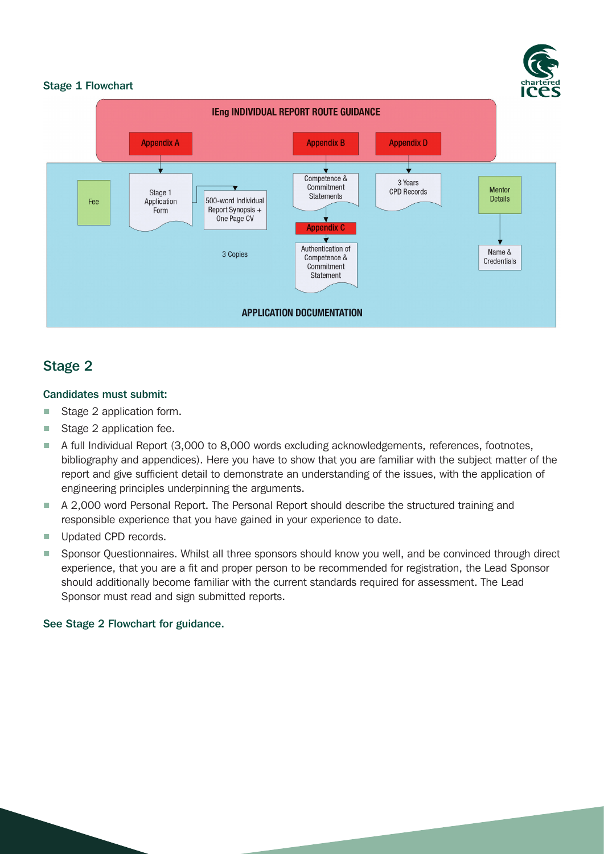

#### Stage 1 Flowchart



## Stage 2

## Candidates must submit:

- Stage 2 application form.
- Stage 2 application fee.
- A full Individual Report (3,000 to 8,000 words excluding acknowledgements, references, footnotes, bibliography and appendices). Here you have to show that you are familiar with the subject matter of the report and give sufficient detail to demonstrate an understanding of the issues, with the application of engineering principles underpinning the arguments.
- A 2,000 word Personal Report. The Personal Report should describe the structured training and responsible experience that you have gained in your experience to date.
- Updated CPD records.
- Sponsor Questionnaires. Whilst all three sponsors should know you well, and be convinced through direct experience, that you are a fit and proper person to be recommended for registration, the Lead Sponsor should additionally become familiar with the current standards required for assessment. The Lead Sponsor must read and sign submitted reports.

## See Stage 2 Flowchart for guidance.